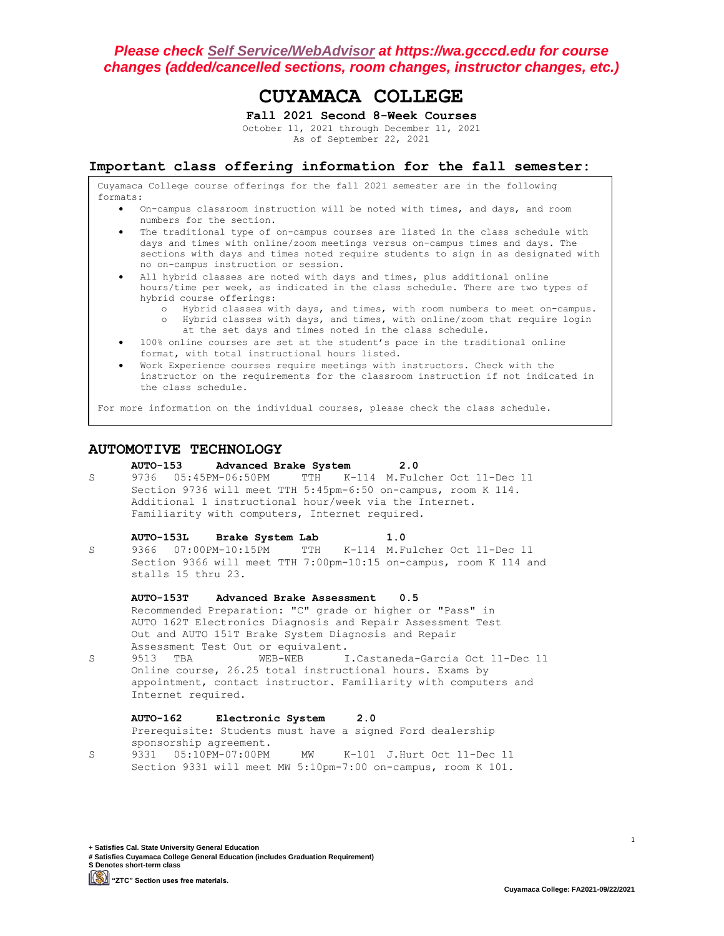# **CUYAMACA COLLEGE**

**Fall 2021 Second 8-Week Courses** October 11, 2021 through December 11, 2021 As of September 22, 2021

**Important class offering information for the fall semester:**

Cuyamaca College course offerings for the fall 2021 semester are in the following formats:

- On-campus classroom instruction will be noted with times, and days, and room numbers for the section.
- The traditional type of on-campus courses are listed in the class schedule with days and times with online/zoom meetings versus on-campus times and days. The sections with days and times noted require students to sign in as designated with no on-campus instruction or session.
- All hybrid classes are noted with days and times, plus additional online hours/time per week, as indicated in the class schedule. There are two types of hybrid course offerings:
	- o Hybrid classes with days, and times, with room numbers to meet on-campus. o Hybrid classes with days, and times, with online/zoom that require login at the set days and times noted in the class schedule.
- 100% online courses are set at the student's pace in the traditional online format, with total instructional hours listed.
- Work Experience courses require meetings with instructors. Check with the instructor on the requirements for the classroom instruction if not indicated in the class schedule.

For more information on the individual courses, please check the class schedule.

## **AUTOMOTIVE TECHNOLOGY**

**AUTO-153 Advanced Brake System 2.0** S 9736 05:45PM-06:50PM TTH K-114 M.Fulcher Oct 11-Dec 11 Section 9736 will meet TTH 5:45pm-6:50 on-campus, room K 114. Additional 1 instructional hour/week via the Internet. Familiarity with computers, Internet required.

#### **AUTO-153L Brake System Lab 1.0**

S 9366 07:00PM-10:15PM TTH K-114 M.Fulcher Oct 11-Dec 11 Section 9366 will meet TTH 7:00pm-10:15 on-campus, room K 114 and stalls 15 thru 23.

#### **AUTO-153T Advanced Brake Assessment 0.5**

Recommended Preparation: "C" grade or higher or "Pass" in AUTO 162T Electronics Diagnosis and Repair Assessment Test Out and AUTO 151T Brake System Diagnosis and Repair Assessment Test Out or equivalent.

S 9513 TBA WEB-WEB I.Castaneda-Garcia Oct 11-Dec 11 Online course, 26.25 total instructional hours. Exams by appointment, contact instructor. Familiarity with computers and Internet required.

## **AUTO-162 Electronic System 2.0**

Prerequisite: Students must have a signed Ford dealership sponsorship agreement.

S 9331 05:10PM-07:00PM MW K-101 J.Hurt Oct 11-Dec 11 Section 9331 will meet MW 5:10pm-7:00 on-campus, room K 101.

**+ Satisfies Cal. State University General Education # Satisfies Cuyamaca College General Education (includes Graduation Requirement) S Denotes short-term class "ZTC" Section uses free materials.**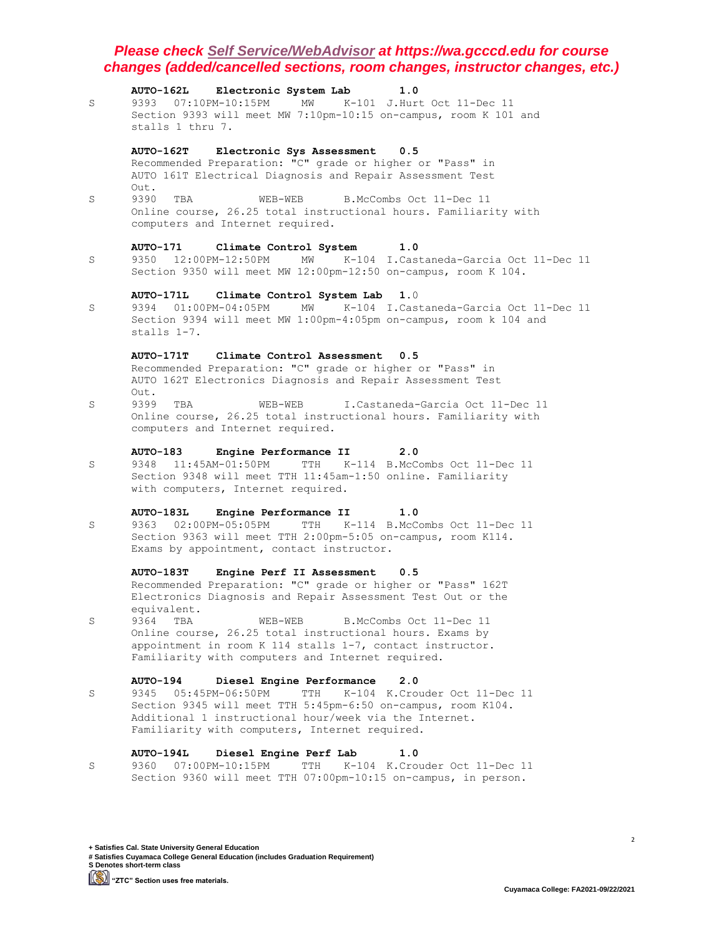|   | <b>AUTO-162L</b><br>Electronic System Lab<br>1.0                                                                                 |
|---|----------------------------------------------------------------------------------------------------------------------------------|
| S | 9393<br>07:10PM-10:15PM<br>MW<br>K-101 J.Hurt Oct 11-Dec 11                                                                      |
|   | Section 9393 will meet MW 7:10pm-10:15 on-campus, room K 101 and                                                                 |
|   | stalls 1 thru 7.                                                                                                                 |
|   | Electronic Sys Assessment<br><b>AUTO-162T</b><br>0.5                                                                             |
|   | Recommended Preparation: "C" grade or higher or "Pass" in                                                                        |
|   | AUTO 161T Electrical Diagnosis and Repair Assessment Test                                                                        |
|   | Out.                                                                                                                             |
| S | 9390<br>TBA<br>WEB-WEB<br>B.McCombs Oct 11-Dec 11                                                                                |
|   | Online course, 26.25 total instructional hours. Familiarity with                                                                 |
|   | computers and Internet required.                                                                                                 |
|   |                                                                                                                                  |
|   | <b>AUTO-171</b><br>Climate Control System<br>1.0<br>K-104 I.Castaneda-Garcia Oct 11-Dec 11<br>9350<br>12:00PM-12:50PM<br>MW      |
| S | Section 9350 will meet MW 12:00pm-12:50 on-campus, room K 104.                                                                   |
|   |                                                                                                                                  |
|   | <b>AUTO-171L</b><br>Climate Control System Lab<br>1.0                                                                            |
| S | $01:00$ PM-04:05PM<br>MW<br>K-104 I.Castaneda-Garcia Oct 11-Dec 11<br>9394                                                       |
|   | Section 9394 will meet MW 1:00pm-4:05pm on-campus, room k 104 and                                                                |
|   | stalls 1-7.                                                                                                                      |
|   |                                                                                                                                  |
|   | AUTO-171T<br>Climate Control Assessment<br>0.5                                                                                   |
|   | Recommended Preparation: "C" grade or higher or "Pass" in<br>AUTO 162T Electronics Diagnosis and Repair Assessment Test          |
|   | Out.                                                                                                                             |
| S | 9399<br>TBA<br>I.Castaneda-Garcia Oct 11-Dec 11<br>WEB-WEB                                                                       |
|   | Online course, 26.25 total instructional hours. Familiarity with                                                                 |
|   | computers and Internet required.                                                                                                 |
|   |                                                                                                                                  |
|   | <b>AUTO-183</b><br>Engine Performance II<br>2.0                                                                                  |
| S | 11:45AM-01:50PM<br>TTH<br>9348<br>K-114 B.McCombs Oct 11-Dec 11                                                                  |
|   | Section 9348 will meet TTH 11:45am-1:50 online. Familiarity<br>with computers, Internet required.                                |
|   |                                                                                                                                  |
|   | Engine Performance II<br><b>AUTO-183L</b><br>1.0                                                                                 |
| S | TTH<br>K-114 B.McCombs Oct 11-Dec 11                                                                                             |
|   | Section 9363 will meet TTH 2:00pm-5:05 on-campus, room K114.                                                                     |
|   | Exams by appointment, contact instructor.                                                                                        |
|   |                                                                                                                                  |
|   | <b>AUTO-183T</b><br>Engine Perf II Assessment<br>0.5                                                                             |
|   | Recommended Preparation: "C" grade or higher or "Pass" 162T<br>Electronics Diagnosis and Repair Assessment Test Out or the       |
|   | equivalent.                                                                                                                      |
| S | 9364<br>B.McCombs Oct 11-Dec 11<br>TBA<br>WEB-WEB                                                                                |
|   | Online course, 26.25 total instructional hours. Exams by                                                                         |
|   | appointment in room K 114 stalls 1-7, contact instructor.                                                                        |
|   | Familiarity with computers and Internet required.                                                                                |
|   |                                                                                                                                  |
|   | Diesel Engine Performance<br><b>AUTO-194</b><br>2.0                                                                              |
| S | 05:45PM-06:50PM<br>TTH<br>9345<br>K-104 K. Crouder Oct 11-Dec 11<br>Section 9345 will meet TTH 5:45pm-6:50 on-campus, room K104. |
|   | Additional 1 instructional hour/week via the Internet.                                                                           |
|   | Familiarity with computers, Internet required.                                                                                   |
|   |                                                                                                                                  |
|   | Diesel Engine Perf Lab<br><b>AUTO-194L</b><br>1.0                                                                                |
| S | 07:00PM-10:15PM<br>TTH<br>$K-104$<br>9360<br>K. Crouder Oct 11-Dec 11                                                            |
|   | Section 9360 will meet TTH 07:00pm-10:15 on-campus, in person.                                                                   |

**+ Satisfies Cal. State University General Education # Satisfies Cuyamaca College General Education (includes Graduation Requirement) S Denotes short-term class [CO)** "ZTC" Section uses free materials.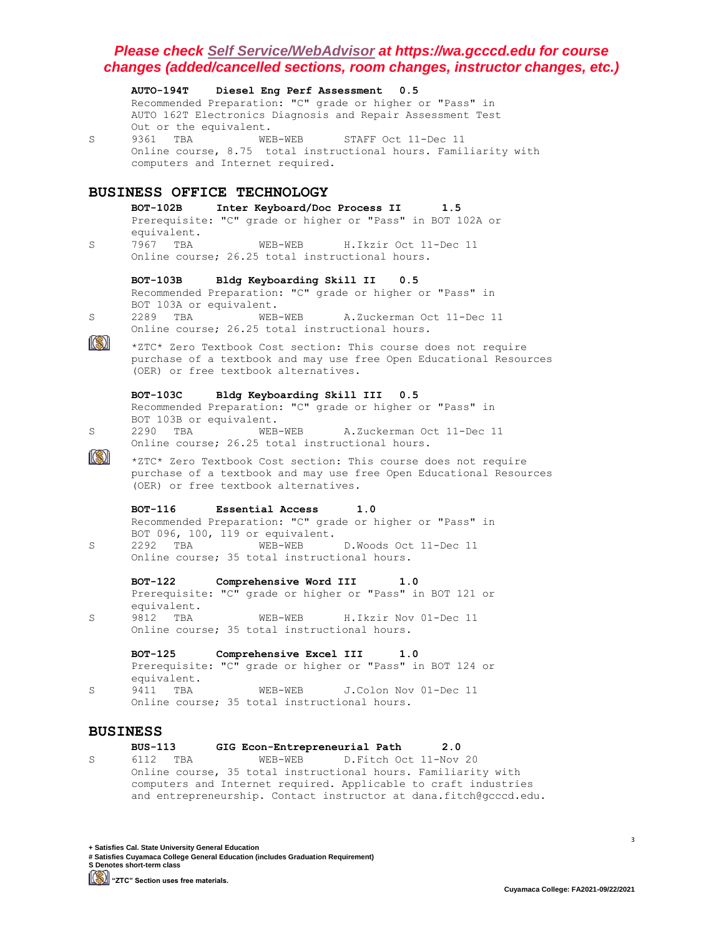|                 | AUTO-194T Diesel Eng Perf Assessment 0.5                                                                                             |
|-----------------|--------------------------------------------------------------------------------------------------------------------------------------|
|                 | Recommended Preparation: "C" grade or higher or "Pass" in<br>AUTO 162T Electronics Diagnosis and Repair Assessment Test              |
|                 | Out or the equivalent.                                                                                                               |
| S               | 9361 TBA<br>WEB-WEB<br>STAFF Oct 11-Dec 11                                                                                           |
|                 | Online course, 8.75 total instructional hours. Familiarity with<br>computers and Internet required.                                  |
|                 |                                                                                                                                      |
|                 | <b>BUSINESS OFFICE TECHNOLOGY</b>                                                                                                    |
|                 | Inter Keyboard/Doc Process II<br>$BOT-102B$<br>1.5                                                                                   |
|                 | Prerequisite: "C" grade or higher or "Pass" in BOT 102A or<br>equivalent.                                                            |
| S               | 7967 TBA<br>WEB-WEB<br>H. Ikzir Oct 11-Dec 11                                                                                        |
|                 | Online course; 26.25 total instructional hours.                                                                                      |
|                 | <b>BOT-103B</b><br>Bldg Keyboarding Skill II<br>0.5                                                                                  |
|                 | Recommended Preparation: "C" grade or higher or "Pass" in<br>BOT 103A or equivalent.                                                 |
| S               | 2289 TBA<br>WEB-WEB<br>A.Zuckerman Oct 11-Dec 11                                                                                     |
|                 | Online course; 26.25 total instructional hours.                                                                                      |
|                 | *ZTC* Zero Textbook Cost section: This course does not require<br>purchase of a textbook and may use free Open Educational Resources |
|                 | (OER) or free textbook alternatives.                                                                                                 |
|                 | Bldg Keyboarding Skill III 0.5<br><b>BOT-103C</b>                                                                                    |
|                 | Recommended Preparation: "C" grade or higher or "Pass" in                                                                            |
| S               | BOT 103B or equivalent.<br>2290 TBA<br>WEB-WEB<br>A.Zuckerman Oct 11-Dec 11                                                          |
|                 | Online course; 26.25 total instructional hours.                                                                                      |
|                 | *ZTC* Zero Textbook Cost section: This course does not require                                                                       |
|                 | purchase of a textbook and may use free Open Educational Resources<br>(OER) or free textbook alternatives.                           |
|                 |                                                                                                                                      |
|                 | <b>BOT-116</b><br>Essential Access<br>1.0<br>Recommended Preparation: "C" grade or higher or "Pass" in                               |
|                 | BOT 096, 100, 119 or equivalent.                                                                                                     |
| S               | $WEB-WEB$<br>2292 TBA<br>D.Woods Oct 11-Dec 11<br>Online course; 35 total instructional hours.                                       |
|                 |                                                                                                                                      |
|                 | <b>BOT-122</b><br>Comprehensive Word III<br>1.0<br>Prerequisite: "C" grade or higher or "Pass" in BOT 121 or                         |
|                 | equivalent.                                                                                                                          |
| S               | 9812<br>H.Ikzir Nov 01-Dec 11<br>TBA<br>WEB-WEB                                                                                      |
|                 | Online course; 35 total instructional hours.                                                                                         |
|                 | <b>BOT-125</b><br>Comprehensive Excel III<br>1.0                                                                                     |
| S               | Prerequisite: "C" grade or higher or "Pass" in BOT 124 or<br>equivalent.                                                             |
|                 | 9411<br>TBA<br>J. Colon Nov 01-Dec 11<br>WEB-WEB                                                                                     |
|                 | Online course; 35 total instructional hours.                                                                                         |
| <b>BUSINESS</b> |                                                                                                                                      |
|                 |                                                                                                                                      |

**BUS-113 GIG Econ-Entrepreneurial Path 2.0** S 6112 TBA WEB-WEB D. Fitch Oct 11-Nov 20 Online course, 35 total instructional hours. Familiarity with computers and Internet required. Applicable to craft industries and entrepreneurship. Contact instructor at dana.fitch@gcccd.edu.

**+ Satisfies Cal. State University General Education # Satisfies Cuyamaca College General Education (includes Graduation Requirement) S Denotes short-term class [Simma)** "ZTC" Section uses free materials.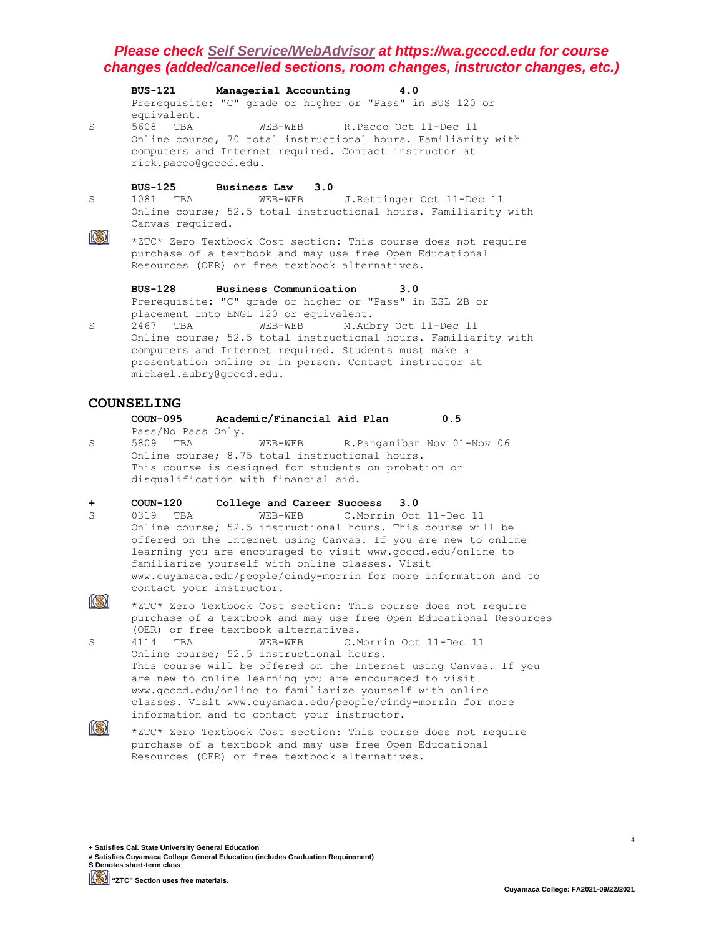|   | BUS-121 Managerial Accounting<br>4.0                                                                                                                                                                                                                            |
|---|-----------------------------------------------------------------------------------------------------------------------------------------------------------------------------------------------------------------------------------------------------------------|
|   | Prerequisite: "C" grade or higher or "Pass" in BUS 120 or<br>equivalent.                                                                                                                                                                                        |
| S | 5608<br>TBA<br>WEB-WEB R.Pacco Oct 11-Dec 11<br>Online course, 70 total instructional hours. Familiarity with<br>computers and Internet required. Contact instructor at<br>rick.pacco@gcccd.edu.                                                                |
|   | BUS-125 Business Law 3.0                                                                                                                                                                                                                                        |
| S | WEB-WEB J. Rettinger Oct 11-Dec 11<br>1081 TBA<br>Online course; 52.5 total instructional hours. Familiarity with<br>Canvas required.                                                                                                                           |
|   | *ZTC* Zero Textbook Cost section: This course does not require<br>purchase of a textbook and may use free Open Educational<br>Resources (OER) or free textbook alternatives.                                                                                    |
|   | BUS-128 Business Communication<br>3.0                                                                                                                                                                                                                           |
|   | Prerequisite: "C" grade or higher or "Pass" in ESL 2B or<br>placement into ENGL 120 or equivalent.                                                                                                                                                              |
| S | 2467<br>TBA<br>WEB-WEB M.Aubry Oct 11-Dec 11<br>Online course; 52.5 total instructional hours. Familiarity with<br>computers and Internet required. Students must make a<br>presentation online or in person. Contact instructor at<br>michael.aubry@gcccd.edu. |
|   | <i></i>                                                                                                                                                                                                                                                         |

## **COUNSELING**

- **COUN-095 Academic/Financial Aid Plan 0.5** Pass/No Pass Only.
- S 5809 TBA WEB-WEB R.Panganiban Nov 01-Nov 06 Online course; 8.75 total instructional hours. This course is designed for students on probation or disqualification with financial aid.

#### **+ COUN-120 College and Career Success 3.0**

S 0319 TBA WEB-WEB C.Morrin Oct 11-Dec 11 Online course; 52.5 instructional hours. This course will be offered on the Internet using Canvas. If you are new to online learning you are encouraged to visit www.gcccd.edu/online to familiarize yourself with online classes. Visit www.cuyamaca.edu/people/cindy-morrin for more information and to contact your instructor.

 $\mathbb{R}$ \*ZTC\* Zero Textbook Cost section: This course does not require purchase of a textbook and may use free Open Educational Resources (OER) or free textbook alternatives.

S 4114 TBA WEB-WEB C.Morrin Oct 11-Dec 11 Online course; 52.5 instructional hours. This course will be offered on the Internet using Canvas. If you are new to online learning you are encouraged to visit www.gcccd.edu/online to familiarize yourself with online classes. Visit www.cuyamaca.edu/people/cindy-morrin for more information and to contact your instructor.  $\circledR$ 

\*ZTC\* Zero Textbook Cost section: This course does not require purchase of a textbook and may use free Open Educational Resources (OER) or free textbook alternatives.

**+ Satisfies Cal. State University General Education # Satisfies Cuyamaca College General Education (includes Graduation Requirement) S Denotes short-term class**

**"ZTC" Section uses free materials.**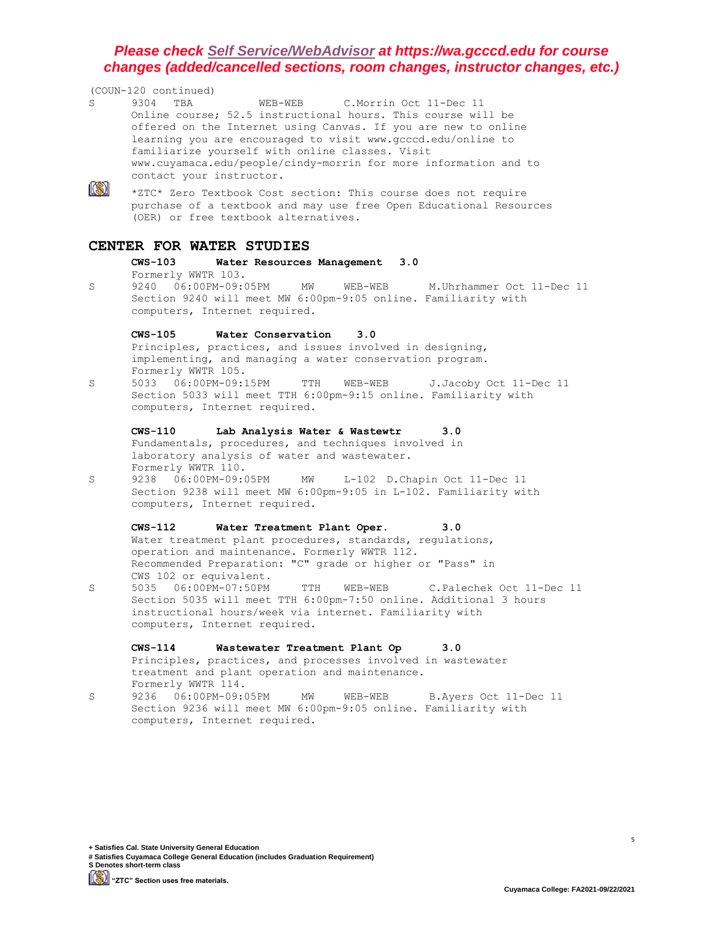|   | (COUN-120 continued)                                                                                                                                                                                                                                                                                                                                                                                  |
|---|-------------------------------------------------------------------------------------------------------------------------------------------------------------------------------------------------------------------------------------------------------------------------------------------------------------------------------------------------------------------------------------------------------|
| S | 9304<br>TBA<br>WEB-WEB<br>C.Morrin Oct 11-Dec 11<br>Online course; 52.5 instructional hours. This course will be<br>offered on the Internet using Canvas. If you are new to online<br>learning you are encouraged to visit www.gcccd.edu/online to<br>familiarize yourself with online classes. Visit<br>www.cuyamaca.edu/people/cindy-morrin for more information and to<br>contact your instructor. |
|   | *ZTC* Zero Textbook Cost section: This course does not require<br>purchase of a textbook and may use free Open Educational Resources<br>(OER) or free textbook alternatives.                                                                                                                                                                                                                          |
|   | CENTER FOR WATER STUDIES                                                                                                                                                                                                                                                                                                                                                                              |
|   | $CWS-103$<br>Water Resources Management<br>3.0                                                                                                                                                                                                                                                                                                                                                        |
| S | Formerly WWTR 103.<br>9240  06:00PM-09:05PM<br>ΜW<br>WEB-WEB<br>M.Uhrhammer Oct 11-Dec 11<br>Section 9240 will meet MW 6:00pm-9:05 online. Familiarity with<br>computers, Internet required.                                                                                                                                                                                                          |
|   | $CWS-105$<br>Water Conservation<br>3.0                                                                                                                                                                                                                                                                                                                                                                |
|   | Principles, practices, and issues involved in designing,<br>implementing, and managing a water conservation program.                                                                                                                                                                                                                                                                                  |
|   | Formerly WWTR 105.                                                                                                                                                                                                                                                                                                                                                                                    |
| S | 06:00PM-09:15PM<br>5033<br>TTH<br>J.Jacoby Oct 11-Dec 11<br>WEB-WEB<br>Section 5033 will meet TTH 6:00pm-9:15 online. Familiarity with<br>computers, Internet required.                                                                                                                                                                                                                               |
|   | Lab Analysis Water & Wastewtr<br><b>CWS-110</b><br>3.0                                                                                                                                                                                                                                                                                                                                                |
|   | Fundamentals, procedures, and techniques involved in<br>laboratory analysis of water and wastewater.<br>Formerly WWTR 110.                                                                                                                                                                                                                                                                            |
| S | 9238 06:00PM-09:05PM<br>L-102 D.Chapin Oct 11-Dec 11<br>ΜW                                                                                                                                                                                                                                                                                                                                            |
|   | Section 9238 will meet MW 6:00pm-9:05 in L-102. Familiarity with<br>computers, Internet required.                                                                                                                                                                                                                                                                                                     |
|   | $CWS-112$<br>Water Treatment Plant Oper.<br>3.0                                                                                                                                                                                                                                                                                                                                                       |
|   | Water treatment plant procedures, standards, regulations,<br>operation and maintenance. Formerly WWTR 112.                                                                                                                                                                                                                                                                                            |
|   | Recommended Preparation: "C" grade or higher or "Pass" in                                                                                                                                                                                                                                                                                                                                             |
| S | CWS 102 or equivalent.<br>06:00PM-07:50PM<br>5035<br>TTH<br>WEB-WEB<br>C.Palechek Oct 11-Dec 11                                                                                                                                                                                                                                                                                                       |
|   | Section 5035 will meet TTH 6:00pm-7:50 online. Additional 3 hours<br>instructional hours/week via internet. Familiarity with                                                                                                                                                                                                                                                                          |
|   | computers, Internet required.                                                                                                                                                                                                                                                                                                                                                                         |
|   | $CWS-114$<br>Wastewater Treatment Plant Op<br>3.0                                                                                                                                                                                                                                                                                                                                                     |
|   | Principles, practices, and processes involved in wastewater                                                                                                                                                                                                                                                                                                                                           |
|   | treatment and plant operation and maintenance.<br>Formerly WWTR 114.                                                                                                                                                                                                                                                                                                                                  |
| S | 9236<br>06:00PM-09:05PM<br>MW<br>WEB-WEB<br>B.Ayers Oct 11-Dec 11                                                                                                                                                                                                                                                                                                                                     |
|   | Section 9236 will meet MW 6:00pm-9:05 online. Familiarity with<br>computers, Internet required.                                                                                                                                                                                                                                                                                                       |

**+ Satisfies Cal. State University General Education # Satisfies Cuyamaca College General Education (includes Graduation Requirement) S Denotes short-term class**

**[CO)** "ZTC" Section uses free materials.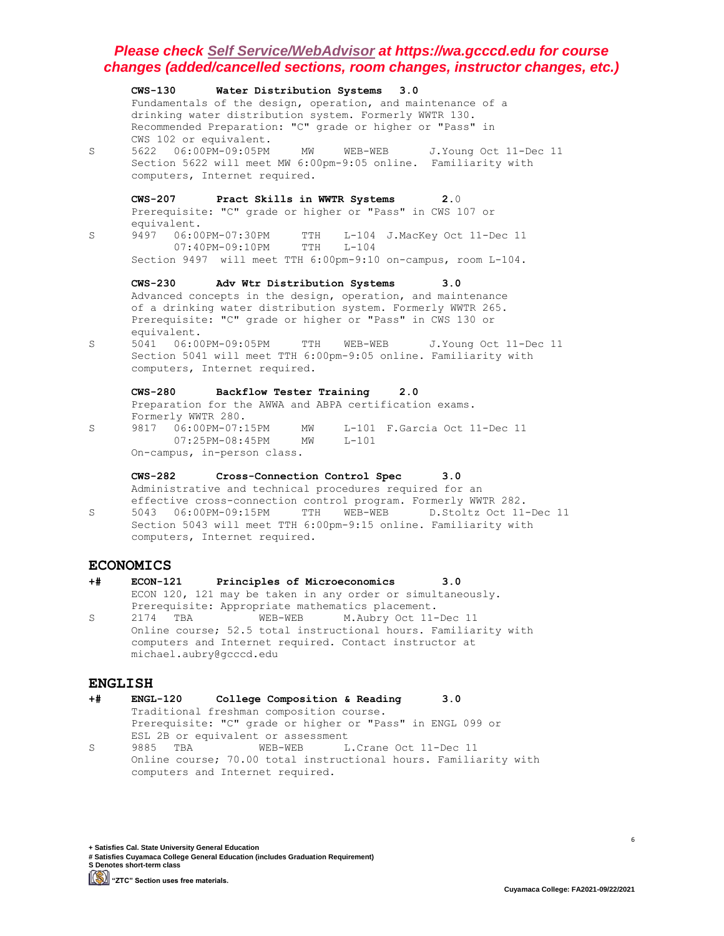**CWS-130 Water Distribution Systems 3.0** Fundamentals of the design, operation, and maintenance of a drinking water distribution system. Formerly WWTR 130. Recommended Preparation: "C" grade or higher or "Pass" in CWS 102 or equivalent. S 5622 06:00PM-09:05PM MW WEB-WEB J.Young Oct 11-Dec 11 Section 5622 will meet MW 6:00pm-9:05 online. Familiarity with computers, Internet required. **CWS-207 Pract Skills in WWTR Systems 2.**0 Prerequisite: "C" grade or higher or "Pass" in CWS 107 or equivalent. S 9497 06:00PM-07:30PM TTH L-104 J.MacKey Oct 11-Dec 11 07:40PM-09:10PM TTH L-104 Section 9497 will meet TTH 6:00pm-9:10 on-campus, room L-104. **CWS-230 Adv Wtr Distribution Systems 3.0** Advanced concepts in the design, operation, and maintenance of a drinking water distribution system. Formerly WWTR 265. Prerequisite: "C" grade or higher or "Pass" in CWS 130 or equivalent. S 5041 06:00PM-09:05PM TTH WEB-WEB J.Young Oct 11-Dec 11 Section 5041 will meet TTH 6:00pm-9:05 online. Familiarity with computers, Internet required. **CWS-280 Backflow Tester Training 2.0** Preparation for the AWWA and ABPA certification exams. Formerly WWTR 280. S 9817 06:00PM-07:15PM MW L-101 F.Garcia Oct 11-Dec 11 07:25PM-08:45PM MW L-101 On-campus, in-person class. **CWS-282 Cross-Connection Control Spec 3.0** Administrative and technical procedures required for an effective cross-connection control program. Formerly WWTR 282. S 5043 06:00PM-09:15PM TTH WEB-WEB D.Stoltz Oct 11-Dec 11 Section 5043 will meet TTH 6:00pm-9:15 online. Familiarity with computers, Internet required. **ECONOMICS**

## **+# ECON-121 Principles of Microeconomics 3.0** ECON 120, 121 may be taken in any order or simultaneously. Prerequisite: Appropriate mathematics placement. S 2174 TBA WEB-WEB M.Aubry Oct 11-Dec 11 Online course; 52.5 total instructional hours. Familiarity with computers and Internet required. Contact instructor at

#### **ENGLISH**

- **+# ENGL-120 College Composition & Reading 3.0** Traditional freshman composition course. Prerequisite: "C" grade or higher or "Pass" in ENGL 099 or ESL 2B or equivalent or assessment S 9885 TBA WEB-WEB L.Crane Oct 11-Dec 11
- Online course; 70.00 total instructional hours. Familiarity with computers and Internet required.

**+ Satisfies Cal. State University General Education # Satisfies Cuyamaca College General Education (includes Graduation Requirement) S Denotes short-term class**

michael.aubry@gcccd.edu

**"ZTC" Section uses free materials.**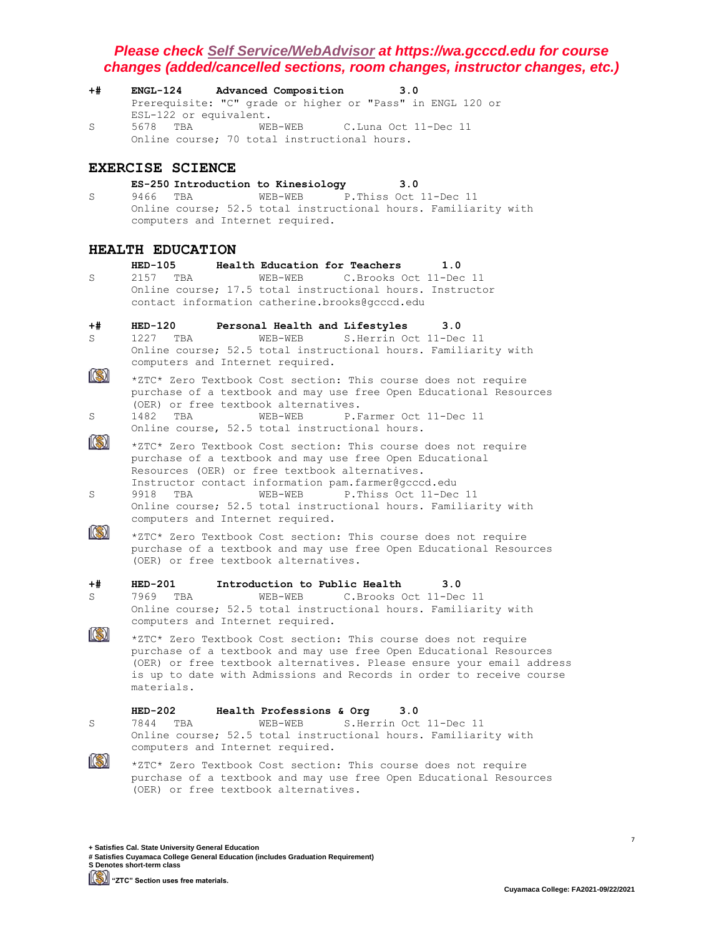**+# ENGL-124 Advanced Composition 3.0** Prerequisite: "C" grade or higher or "Pass" in ENGL 120 or ESL-122 or equivalent. S 5678 TBA WEB-WEB C.Luna Oct 11-Dec 11 Online course; 70 total instructional hours.

## **EXERCISE SCIENCE**

## **ES-250 Introduction to Kinesiology 3.0**

S 9466 TBA WEB-WEB P.Thiss Oct 11-Dec 11 Online course; 52.5 total instructional hours. Familiarity with computers and Internet required.

## **HEALTH EDUCATION**

**HED-105 Health Education for Teachers 1.0** S 2157 TBA WEB-WEB C.Brooks Oct 11-Dec 11 Online course; 17.5 total instructional hours. Instructor contact information catherine.brooks@gcccd.edu

# **+# HED-120 Personal Health and Lifestyles 3.0**

S 1227 TBA WEB-WEB S.Herrin Oct 11-Dec 11 Online course; 52.5 total instructional hours. Familiarity with computers and Internet required.

- $\ket{\mathbb{S}}$ \*ZTC\* Zero Textbook Cost section: This course does not require purchase of a textbook and may use free Open Educational Resources (OER) or free textbook alternatives. S 1482 TBA WEB-WEB P.Farmer Oct 11-Dec 11
- Online course, 52.5 total instructional hours.
- $\circledR$ \*ZTC\* Zero Textbook Cost section: This course does not require purchase of a textbook and may use free Open Educational Resources (OER) or free textbook alternatives. Instructor contact information pam.farmer@gcccd.edu S 9918 TBA WEB-WEB P.Thiss Oct 11-Dec 11
- Online course; 52.5 total instructional hours. Familiarity with computers and Internet required.  $\mathbb{R}$



# **+# HED-201 Introduction to Public Health 3.0**

S 7969 TBA WEB-WEB C.Brooks Oct 11-Dec 11 Online course; 52.5 total instructional hours. Familiarity with computers and Internet required.

\*ZTC\* Zero Textbook Cost section: This course does not require purchase of a textbook and may use free Open Educational Resources (OER) or free textbook alternatives. Please ensure your email address is up to date with Admissions and Records in order to receive course materials.

|          | $HED-202$ | Health Professions & Org         | 3.0 |                                                                    |  |
|----------|-----------|----------------------------------|-----|--------------------------------------------------------------------|--|
| S.       | 7844 TBA  | WEB-WEB S.Herrin Oct 11-Dec 11   |     |                                                                    |  |
|          |           |                                  |     | Online course; 52.5 total instructional hours. Familiarity with    |  |
|          |           | computers and Internet required. |     |                                                                    |  |
| <b>B</b> |           |                                  |     | 40004 04:44 Maillead Oast sasting: Mbis seconds dass wat committed |  |

\*ZTC\* Zero Textbook Cost section: This course does not require purchase of a textbook and may use free Open Educational Resources (OER) or free textbook alternatives.

**+ Satisfies Cal. State University General Education # Satisfies Cuyamaca College General Education (includes Graduation Requirement) S Denotes short-term class**

**"ZTC" Section uses free materials.**

 $\left[\odot\right]$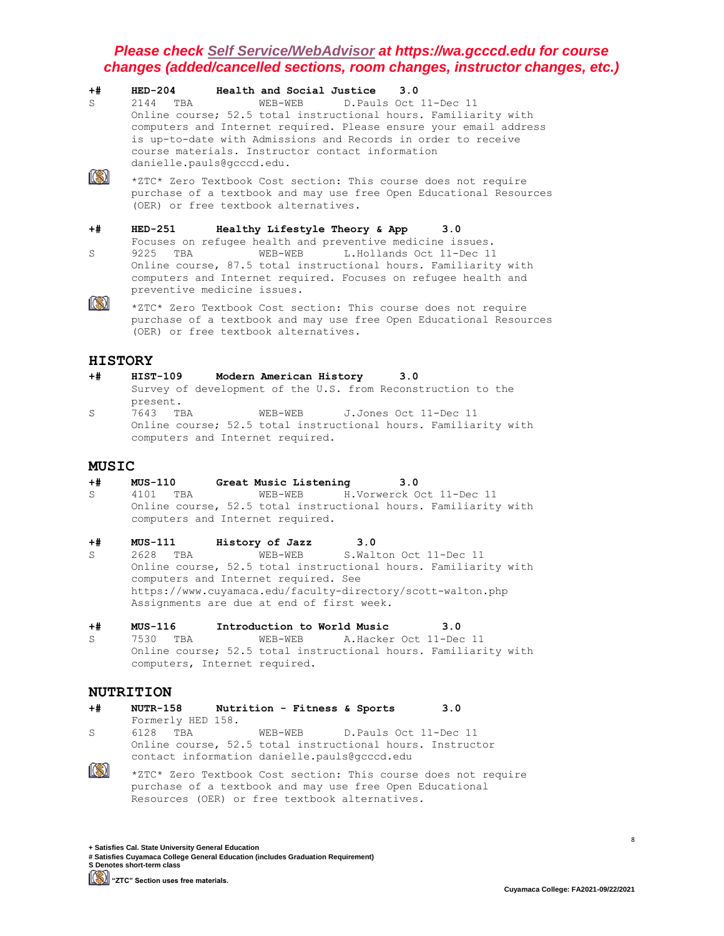| $+#$ | $HED-204$<br>Health and Social Justice 3.0                                                                                                                                                                                                                                             |
|------|----------------------------------------------------------------------------------------------------------------------------------------------------------------------------------------------------------------------------------------------------------------------------------------|
| S.   | WEB-WEB D. Pauls Oct 11-Dec 11<br>2144 TBA                                                                                                                                                                                                                                             |
|      | Online course; 52.5 total instructional hours. Familiarity with<br>computers and Internet required. Please ensure your email address<br>is up-to-date with Admissions and Records in order to receive<br>course materials. Instructor contact information<br>danielle.pauls@gcccd.edu. |
|      | *ZTC* Zero Textbook Cost section: This course does not require<br>purchase of a textbook and may use free Open Educational Resources<br>(OER) or free textbook alternatives.                                                                                                           |
| $+#$ | <b>HED-251</b><br>Healthy Lifestyle Theory & App 3.0                                                                                                                                                                                                                                   |
|      | Focuses on refugee health and preventive medicine issues.                                                                                                                                                                                                                              |
| S    | 9225<br>WEB-WEB L.Hollands Oct 11-Dec 11<br>TBA                                                                                                                                                                                                                                        |
|      | Online course, 87.5 total instructional hours. Familiarity with<br>computers and Internet required. Focuses on refugee health and<br>preventive medicine issues.                                                                                                                       |
|      | *ZTC* Zero Textbook Cost section: This course does not require<br>purchase of a textbook and may use free Open Educational Resources                                                                                                                                                   |



- **+# HIST-109 Modern American History 3.0** Survey of development of the U.S. from Reconstruction to the present.<br>7643 TBA S 7643 TBA WEB-WEB J.Jones Oct 11-Dec 11
- Online course; 52.5 total instructional hours. Familiarity with computers and Internet required.

#### **MUSIC**

**+# MUS-110 Great Music Listening 3.0**

(OER) or free textbook alternatives.

- S 4101 TBA WEB-WEB H.Vorwerck Oct 11-Dec 11 Online course, 52.5 total instructional hours. Familiarity with computers and Internet required.
- 
- **+# MUS-111 History of Jazz 3.0** s<br>S 2628 TBA WEB-WEB S.Walton Oct 11-Dec 11 Online course, 52.5 total instructional hours. Familiarity with computers and Internet required. See https://www.cuyamaca.edu/faculty-directory/scott-walton.php Assignments are due at end of first week.
- **+# MUS-116 Introduction to World Music 3.0** S 7530 TBA WEB-WEB A.Hacker Oct 11-Dec 11 Online course; 52.5 total instructional hours. Familiarity with computers, Internet required.

## **NUTRITION**

**+# NUTR-158 Nutrition - Fitness & Sports 3.0** Formerly HED 158. S 6128 TBA WEB-WEB D.Pauls Oct 11-Dec 11 Online course, 52.5 total instructional hours. Instructor contact information danielle.pauls@gcccd.edu  $\left\| \left( \text{\%}\right) \right\|$ \*ZTC\* Zero Textbook Cost section: This course does not require purchase of a textbook and may use free Open Educational

Resources (OER) or free textbook alternatives.

**+ Satisfies Cal. State University General Education # Satisfies Cuyamaca College General Education (includes Graduation Requirement) S Denotes short-term class**

**"ZTC" Section uses free materials.**